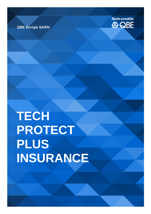# **TECH PROTECT PLUS INSURANCE**



**QBE Europe SA/NV**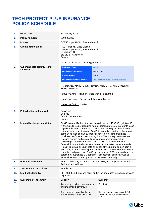## **TECH PROTECT PLUS INSURANCE POLICY SCHEDULE**

| 1.         | <b>Issue date:</b>                           | 26 January 2022                                                                                                                                                                                                                                                                                                                                                                                                                                                                                                                                                                                                                                                                                                                                                                                                                                                                                                                                                                                                                     |                                                                                   |  |
|------------|----------------------------------------------|-------------------------------------------------------------------------------------------------------------------------------------------------------------------------------------------------------------------------------------------------------------------------------------------------------------------------------------------------------------------------------------------------------------------------------------------------------------------------------------------------------------------------------------------------------------------------------------------------------------------------------------------------------------------------------------------------------------------------------------------------------------------------------------------------------------------------------------------------------------------------------------------------------------------------------------------------------------------------------------------------------------------------------------|-----------------------------------------------------------------------------------|--|
| 2.         | <b>Policy number:</b>                        | 090 0002387                                                                                                                                                                                                                                                                                                                                                                                                                                                                                                                                                                                                                                                                                                                                                                                                                                                                                                                                                                                                                         |                                                                                   |  |
| 3.         | Insurer:                                     | QBE Europe SA/NV, Sweden branch                                                                                                                                                                                                                                                                                                                                                                                                                                                                                                                                                                                                                                                                                                                                                                                                                                                                                                                                                                                                     |                                                                                   |  |
| 4.         | <b>Claims notification:</b>                  | <b>FAO: Financial Lines Claims</b><br>QBE Europe SA/NV, Sweden branch<br>Sveavägen 13<br>SE-111 57 Stockholm<br>Sweden                                                                                                                                                                                                                                                                                                                                                                                                                                                                                                                                                                                                                                                                                                                                                                                                                                                                                                              |                                                                                   |  |
|            |                                              | Or by e-mail: claims-sweden@se.qbe.com                                                                                                                                                                                                                                                                                                                                                                                                                                                                                                                                                                                                                                                                                                                                                                                                                                                                                                                                                                                              |                                                                                   |  |
| 5.         | Cyber and data security repre-<br>sentative: | <b>One Network Firm:</b>                                                                                                                                                                                                                                                                                                                                                                                                                                                                                                                                                                                                                                                                                                                                                                                                                                                                                                                                                                                                            | <b>Delphi</b>                                                                     |  |
|            |                                              | <b>Incident Response Number:</b>                                                                                                                                                                                                                                                                                                                                                                                                                                                                                                                                                                                                                                                                                                                                                                                                                                                                                                                                                                                                    | +46 812160606                                                                     |  |
|            |                                              | <b>Primary Language:</b>                                                                                                                                                                                                                                                                                                                                                                                                                                                                                                                                                                                                                                                                                                                                                                                                                                                                                                                                                                                                            | Swedish                                                                           |  |
|            |                                              | <b>Incident Response Email Address:</b>                                                                                                                                                                                                                                                                                                                                                                                                                                                                                                                                                                                                                                                                                                                                                                                                                                                                                                                                                                                             | OneCyberResponseLine.Sweden@clydeco.com                                           |  |
|            |                                              | IT Forensics: KPMG, Grant Thornton, Kroll, S-RM, Kivu Consulting,<br><b>Envista Forensics</b>                                                                                                                                                                                                                                                                                                                                                                                                                                                                                                                                                                                                                                                                                                                                                                                                                                                                                                                                       |                                                                                   |  |
|            |                                              | <b>Public relation:</b> Fleishman Hillard with local partners                                                                                                                                                                                                                                                                                                                                                                                                                                                                                                                                                                                                                                                                                                                                                                                                                                                                                                                                                                       |                                                                                   |  |
|            |                                              | Legal Assistance: One network firm stated above                                                                                                                                                                                                                                                                                                                                                                                                                                                                                                                                                                                                                                                                                                                                                                                                                                                                                                                                                                                     |                                                                                   |  |
|            |                                              | <b>Credit Monitoring: Equifax</b>                                                                                                                                                                                                                                                                                                                                                                                                                                                                                                                                                                                                                                                                                                                                                                                                                                                                                                                                                                                                   |                                                                                   |  |
|            |                                              |                                                                                                                                                                                                                                                                                                                                                                                                                                                                                                                                                                                                                                                                                                                                                                                                                                                                                                                                                                                                                                     |                                                                                   |  |
| 6.         | Policyholder and Insured:                    | ZealiD AB<br>Box 3437<br>SE-111 56 Stockholm<br>Sweden                                                                                                                                                                                                                                                                                                                                                                                                                                                                                                                                                                                                                                                                                                                                                                                                                                                                                                                                                                              |                                                                                   |  |
| 7.         | Insured business description:                | ZealiD is a qualified trust service provider under eIDAS (Regulation (EU)<br>N°910/2014). ZealiD identifies natural persons remotely in order to issue<br>digital certificates to them and provide them with digital identification,<br>authentication and signature. ZealiD then markets and sells that data to<br>companies such as banks, financial service providers, insurance<br>providers, lawfirms and accounting firms. The primary use cases are<br>qualified signing and remote know your customer identification<br>according to money laundering acts. ZealiD is authorized by the<br>Swedish Finance Authority as an account information service provider<br>(PSD2) to extract account data on behalf of the natural person from a<br>third party account. ZealiD processes sensitive personal data as a data<br>controller and processor. ZealiD operates under ETSI standards and is<br>certified by authorized EU conformity assessment bodies as well as<br>Swedish supervisory body Post and Telecoms Authority. |                                                                                   |  |
| 8.         | <b>Period of Insurance:</b>                  | From 01 February 2022 to 31 January 2023, both days inclusive at the<br>Policyholders address                                                                                                                                                                                                                                                                                                                                                                                                                                                                                                                                                                                                                                                                                                                                                                                                                                                                                                                                       |                                                                                   |  |
| 9.         | <b>Territory and Jurisdiction:</b>           | Worldwide                                                                                                                                                                                                                                                                                                                                                                                                                                                                                                                                                                                                                                                                                                                                                                                                                                                                                                                                                                                                                           |                                                                                   |  |
| 10.        | <b>Limit of Indemnity:</b>                   | SEK 10,000,000 any one claim and in the aggregate including costs and<br>expenses                                                                                                                                                                                                                                                                                                                                                                                                                                                                                                                                                                                                                                                                                                                                                                                                                                                                                                                                                   |                                                                                   |  |
| 10.<br>11. | <b>Sub-limits of Indemnity:</b>              | <b>Section</b>                                                                                                                                                                                                                                                                                                                                                                                                                                                                                                                                                                                                                                                                                                                                                                                                                                                                                                                                                                                                                      | Sub-limit                                                                         |  |
|            |                                              | Technology, cyber, data security<br>and multimedia cover (2):                                                                                                                                                                                                                                                                                                                                                                                                                                                                                                                                                                                                                                                                                                                                                                                                                                                                                                                                                                       | Full limit                                                                        |  |
|            |                                              | The coverage provided under this<br>insured section is extended with a                                                                                                                                                                                                                                                                                                                                                                                                                                                                                                                                                                                                                                                                                                                                                                                                                                                                                                                                                              | Hacker financial crime cover (2.3.3)<br>Loss of or damage to documents<br>(2.3.4) |  |

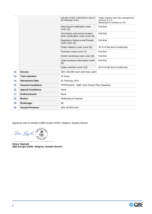|                            | sub-limit of SEK 1,000,000 for each of<br>the following covers:       | Public relations and crisis management<br>services (2.3.7)<br>Withdrawal of contents (2.3.8) |  |
|----------------------------|-----------------------------------------------------------------------|----------------------------------------------------------------------------------------------|--|
|                            | Data breach notification costs<br>cover $(3)$ :                       | Full limit                                                                                   |  |
|                            | Information and communication<br>asset rectification costs cover (4): | Full limit                                                                                   |  |
|                            | Regulatory Defence and Penalty<br>costs cover (5):                    | Full limit                                                                                   |  |
|                            | Public relations costs cover (6):                                     | 25 % of the limit of indemnity                                                               |  |
|                            | Forensics costs cover (7):                                            | Full limit                                                                                   |  |
|                            | Credit monitoring costs cover (8):                                    | Full limit                                                                                   |  |
|                            | Cyber business interruption cover<br>$(9)$ :                          | Full limit                                                                                   |  |
|                            | Cyber extortion cover (10):                                           | 25 % of the limit of indemnity                                                               |  |
| Excess:                    | SEK 100,000 each and every claim                                      |                                                                                              |  |
| Time retention:            | 12 hours                                                              |                                                                                              |  |
| <b>Retroactive Date:</b>   | 01 February 2021                                                      |                                                                                              |  |
| <b>General Conditions:</b> | PTPP010615 - QBE Tech Protect Plus (Sweden)                           |                                                                                              |  |
| <b>Special Conditions:</b> | None                                                                  |                                                                                              |  |
| <b>Endorsements:</b>       | None                                                                  |                                                                                              |  |
| <b>Broker:</b>             | Söderberg & Partners                                                  |                                                                                              |  |
| <b>Brokerage:</b>          | Nil                                                                   |                                                                                              |  |
| <b>Annual Premium:</b>     | SEK 69,000 (net)                                                      |                                                                                              |  |
|                            |                                                                       |                                                                                              |  |

Signed by and on behalf of QBE Europe SA/NV, Belgium, Sweden Branch

 $\frac{1}{\sqrt{2}}$   $\frac{1}{\sqrt{2}}$   $\frac{1}{\sqrt{2}}$   $\frac{1}{\sqrt{2}}$   $\frac{1}{\sqrt{2}}$   $\frac{1}{\sqrt{2}}$   $\frac{1}{\sqrt{2}}$   $\frac{1}{\sqrt{2}}$   $\frac{1}{\sqrt{2}}$   $\frac{1}{\sqrt{2}}$   $\frac{1}{\sqrt{2}}$   $\frac{1}{\sqrt{2}}$   $\frac{1}{\sqrt{2}}$   $\frac{1}{\sqrt{2}}$   $\frac{1}{\sqrt{2}}$   $\frac{1}{\sqrt{2}}$   $\frac{1}{\sqrt{2}}$ 

**Simon Højmark QBE Europe SA/NV, Belgium, Sweden Branch** 

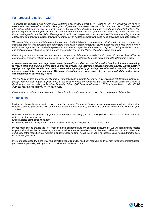#### Fair processing notice – GDPR

*To provide our services as an insurer, QBE Danmark, Filial af QBE Europe SA/NV, Belgien, CVR-no. 39800985 will need to*  collect and use personal information. The types of personal information that we collect, and our uses of that personal *information will depend on your relationship with us but will include details such as name, address and contact details. The primary legal basis for our processing is the performance of the contract that you enter into according to the General Data Protection Regulation article 6 (1)(b). The purposes for which we use your personal information will include evaluating insurance applications and providing quotes; providing insurance cover; handling claims; crime and fraud prevention and debt recovery.*

*We may obtain your personal information from or share it with third parties such as intermediaries, other insurers, reinsurers, insurance brokers, loss adjusters, sub-contractors, our affiliates, group companies, public authorities, the police and other law enforcement agencies, fraud and crime prevention and detection agencies, databases and registers, publicly available sources and certain regulatory bodies for the purposes described in our Privacy Notice: https://qbe.dk/privacy-policy/.*

*Depending on the circumstances, we may transfer personal information outside the European Economic Area (EEA) to countries that have less robust data protection laws. Any such transfer will be made with appropriate safeguards in place.*

*In some cases, we may need to process certain types of "sensitive personal information" such as information relating to your health and criminal convictions in order to provide our insurance services and pay claims. Unless another*  legal ground applies, we will need your consent which you give by providing that information. We will collect your *consent separately when relevant. We have described our processing of your personal data under these circumstances in our Privacy Notice.*

*You can find out more about our use of personal information and the rights that you have by clicking here: https://qbe.dk/privacy*policy/. You can also request a paper copy of the Privacy Notice by contacting the Data Protection Officer by e-mail: at *dpo@uk.qbe.com or in writing to: The Data Protection Officer, QBE European Operations, 30 Fenchurch Street, London, EC3M 3BD. We recommend that you review this notice.*

*If you provide us with personal information relating to a third party, you should provide them with a copy of this notice.*

#### **Complaints**

It is the intention of the company to provide a first class service. Your usual Contact person remains your privileged interlocutor. He/she is able to provide you with all the information and explanations, thanks to his already thorough knowledge of your situation.

However, if the answer provided by your interlocutor does not satisfy you and should you wish to make a complaint, you may write, in the first instance, to

Email: Nordics-complaints@qbe.com;

or in writing to the following address: Att: Complaints Officer, Sveavägen 13, 115 57 Stockholm.

Please make sure to provide the references of the file concerned and any supporting documents. We will acknowledge receipt of your claim within five business days and respond as soon as possible and, at the latest, within two months, unless the complexity of the resolution may warrant a longer processing time. we will inform you if necessary. Deadlines run from the date of receipt of your claim.

If you are not satisfied with the way your complaint regarding QBE has been resolved, and you wish to take the matter further, you have the possibility to lodge your claim with the local district court.